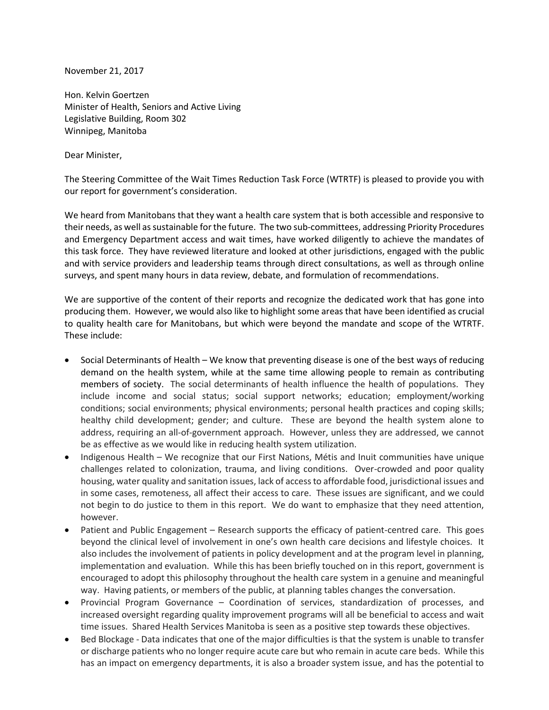November 21, 2017

Hon. Kelvin Goertzen Minister of Health, Seniors and Active Living Legislative Building, Room 302 Winnipeg, Manitoba

## Dear Minister,

The Steering Committee of the Wait Times Reduction Task Force (WTRTF) is pleased to provide you with our report for government's consideration.

We heard from Manitobans that they want a health care system that is both accessible and responsive to their needs, as well as sustainable for the future. The two sub-committees, addressing Priority Procedures and Emergency Department access and wait times, have worked diligently to achieve the mandates of this task force. They have reviewed literature and looked at other jurisdictions, engaged with the public and with service providers and leadership teams through direct consultations, as well as through online surveys, and spent many hours in data review, debate, and formulation of recommendations.

We are supportive of the content of their reports and recognize the dedicated work that has gone into producing them. However, we would also like to highlight some areas that have been identified as crucial to quality health care for Manitobans, but which were beyond the mandate and scope of the WTRTF. These include:

- Social Determinants of Health We know that preventing disease is one of the best ways of reducing demand on the health system, while at the same time allowing people to remain as contributing members of society. The social determinants of health influence the health of populations. They include income and social status; social support networks; education; employment/working conditions; social environments; physical environments; personal health practices and coping skills; healthy child development; gender; and culture. These are beyond the health system alone to address, requiring an all-of-government approach. However, unless they are addressed, we cannot be as effective as we would like in reducing health system utilization.
- Indigenous Health We recognize that our First Nations, Métis and Inuit communities have unique challenges related to colonization, trauma, and living conditions. Over-crowded and poor quality housing, water quality and sanitation issues, lack of access to affordable food, jurisdictional issues and in some cases, remoteness, all affect their access to care. These issues are significant, and we could not begin to do justice to them in this report. We do want to emphasize that they need attention, however.
- Patient and Public Engagement Research supports the efficacy of patient-centred care. This goes beyond the clinical level of involvement in one's own health care decisions and lifestyle choices. It also includes the involvement of patients in policy development and at the program level in planning, implementation and evaluation. While this has been briefly touched on in this report, government is encouraged to adopt this philosophy throughout the health care system in a genuine and meaningful way. Having patients, or members of the public, at planning tables changes the conversation.
- Provincial Program Governance Coordination of services, standardization of processes, and increased oversight regarding quality improvement programs will all be beneficial to access and wait time issues. Shared Health Services Manitoba is seen as a positive step towards these objectives.
- Bed Blockage Data indicates that one of the major difficulties is that the system is unable to transfer or discharge patients who no longer require acute care but who remain in acute care beds. While this has an impact on emergency departments, it is also a broader system issue, and has the potential to